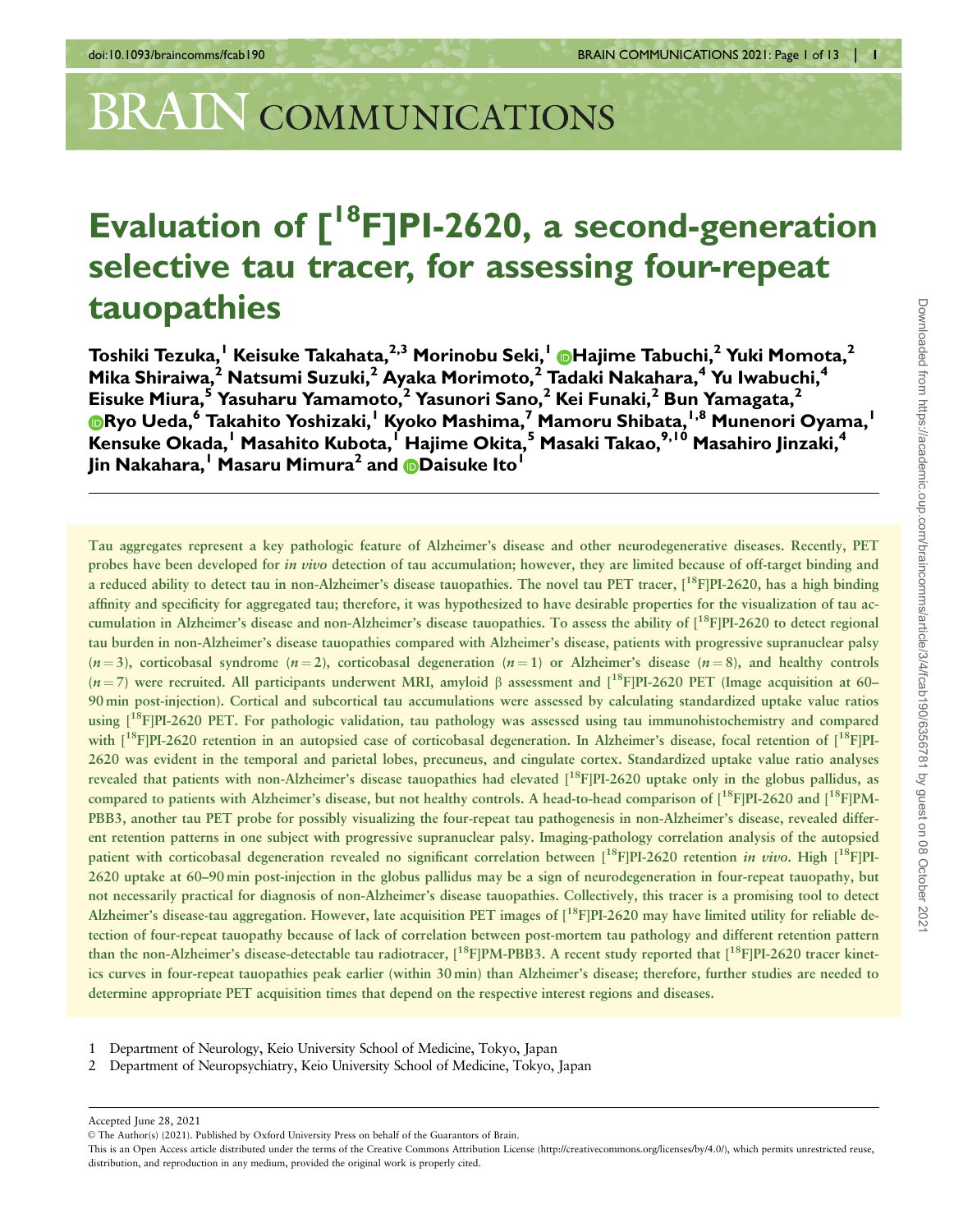# BRAIN COMMUNICATIONS

## Evaluation of  $[{}^{18}F]$ PI-2620, a second-generation selective tau tracer, for assessing four-repeat tauopathies

Toshiki Tezuka,<sup>1</sup> Keisuke Takahata,<sup>2,3</sup> Morinobu Seki,<sup>1</sup> DHajime Tabuchi,<sup>2</sup> Yuki Momota,<sup>2</sup> Mika Shiraiwa, $^2$  Natsumi Suzuki, $^2$  Ayaka Morimoto, $^2$  Tadaki Nakahara, $^4$  Yu Iwabuchi, $^4$ Eisuke Miura, $^5$  Yasuharu Yamamoto, $^2$  Yasunori Sano, $^2$  Kei Funaki, $^2$  Bun Yamagata, $^2$ **ERYO Ueda, Takahito Yoshizaki,**<sup>1</sup> Kyoko Mashima,<sup>7</sup> Mamoru Shibata,<sup>1,8</sup> Munenori Oyama,<sup>1</sup> Kensuke Okada,<sup>1</sup> Masahito Kubota,<sup>1</sup> Hajime Okita,<sup>5</sup> Masaki Takao,<sup>9,10</sup> Masahiro Jinzaki,<sup>4</sup> Jin Nakahara,<sup>1</sup> Masaru Mimura<sup>2</sup> and **[D](https://orcid.org/0000-0002-4740-1675)aisuke Ito**<sup>1</sup>

Tau aggregates represent a key pathologic feature of Alzheimer's disease and other neurodegenerative diseases. Recently, PET probes have been developed for *in vivo* detection of tau accumulation; however, they are limited because of off-target binding and a reduced ability to detect tau in non-Alzheimer's disease tauopathies. The novel tau PET tracer, [<sup>18</sup>F]PI-2620, has a high binding affinity and specificity for aggregated tau; therefore, it was hypothesized to have desirable properties for the visualization of tau accumulation in Alzheimer's disease and non-Alzheimer's disease tauopathies. To assess the ability of  $1^{18}F[PI-2620$  to detect regional tau burden in non-Alzheimer's disease tauopathies compared with Alzheimer's disease, patients with progressive supranuclear palsy  $(n=3)$ , corticobasal syndrome  $(n=2)$ , corticobasal degeneration  $(n=1)$  or Alzheimer's disease  $(n=8)$ , and healthy controls  $(n=7)$  were recruited. All participants underwent MRI, amyloid  $\beta$  assessment and  $\binom{18}{1}P$ PI-2620 PET (Image acquisition at 60– 90 min post-injection). Cortical and subcortical tau accumulations were assessed by calculating standardized uptake value ratios using  $1^{18}F[P1-2620$  PET. For pathologic validation, tau pathology was assessed using tau immunohistochemistry and compared with  $[18F]PI-2620$  retention in an autopsied case of corticobasal degeneration. In Alzheimer's disease, focal retention of  $[18F]PI-$ 2620 was evident in the temporal and parietal lobes, precuneus, and cingulate cortex. Standardized uptake value ratio analyses revealed that patients with non-Alzheimer's disease tauopathies had elevated [<sup>18</sup>F]PI-2620 uptake only in the globus pallidus, as compared to patients with Alzheimer's disease, but not healthy controls. A head-to-head comparison of  $[1^8F]PI-2620$  and  $[1^8F]PM-$ PBB3, another tau PET probe for possibly visualizing the four-repeat tau pathogenesis in non-Alzheimer's disease, revealed different retention patterns in one subject with progressive supranuclear palsy. Imaging-pathology correlation analysis of the autopsied patient with corticobasal degeneration revealed no significant correlation between [<sup>18</sup>F]PI-2620 retention *in vivo*. High [<sup>18</sup>F]PI-2620 uptake at 60–90 min post-injection in the globus pallidus may be a sign of neurodegeneration in four-repeat tauopathy, but not necessarily practical for diagnosis of non-Alzheimer's disease tauopathies. Collectively, this tracer is a promising tool to detect Alzheimer's disease-tau aggregation. However, late acquisition PET images of [<sup>18</sup>F]PI-2620 may have limited utility for reliable detection of four-repeat tauopathy because of lack of correlation between post-mortem tau pathology and different retention pattern than the non-Alzheimer's disease-detectable tau radiotracer,  $[18F]PM-PBB3$ . A recent study reported that  $[18F]P1-2620$  tracer kinetics curves in four-repeat tauopathies peak earlier (within 30 min) than Alzheimer's disease; therefore, further studies are needed to determine appropriate PET acquisition times that depend on the respective interest regions and diseases.

1 Department of Neurology, Keio University School of Medicine, Tokyo, Japan

2 Department of Neuropsychiatry, Keio University School of Medicine, Tokyo, Japan

Accepted June 28, 2021

V<sup>C</sup> The Author(s) (2021). Published by Oxford University Press on behalf of the Guarantors of Brain.

This is an Open Access article distributed under the terms of the Creative Commons Attribution License (http://creativecommons.org/licenses/by/4.0/), which permits unrestricted reuse, distribution, and reproduction in any medium, provided the original work is properly cited.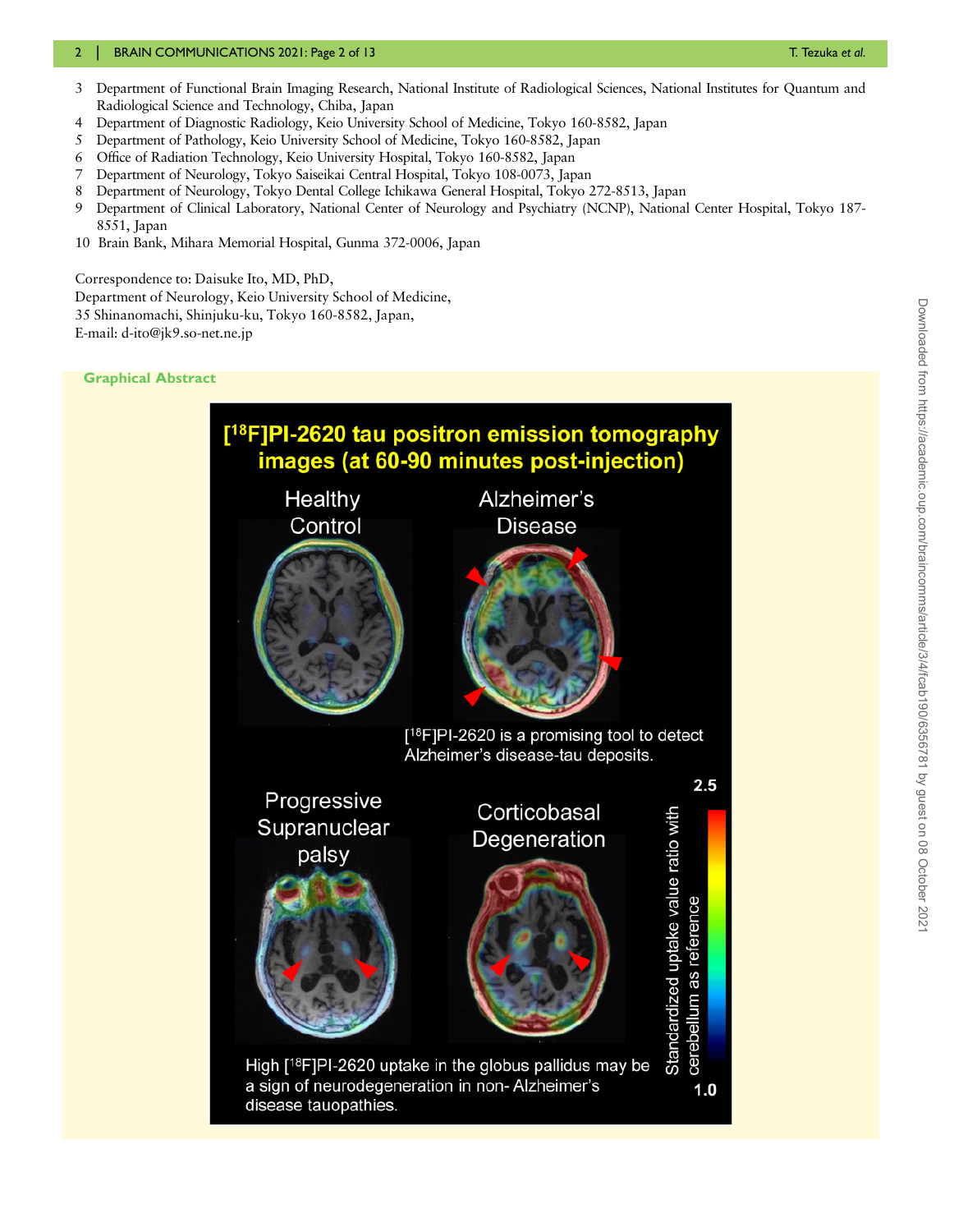#### 2 | BRAIN COMMUNICATIONS 2021: Page 2 of 13 T. Text and 2021: Page 2 of 13

- 3 Department of Functional Brain Imaging Research, National Institute of Radiological Sciences, National Institutes for Quantum and Radiological Science and Technology, Chiba, Japan
- 4 Department of Diagnostic Radiology, Keio University School of Medicine, Tokyo 160-8582, Japan
- 5 Department of Pathology, Keio University School of Medicine, Tokyo 160-8582, Japan
- 6 Office of Radiation Technology, Keio University Hospital, Tokyo 160-8582, Japan
- 7 Department of Neurology, Tokyo Saiseikai Central Hospital, Tokyo 108-0073, Japan
- 8 Department of Neurology, Tokyo Dental College Ichikawa General Hospital, Tokyo 272-8513, Japan
- 9 Department of Clinical Laboratory, National Center of Neurology and Psychiatry (NCNP), National Center Hospital, Tokyo 187- 8551, Japan
- 10 Brain Bank, Mihara Memorial Hospital, Gunma 372-0006, Japan

Correspondence to: Daisuke Ito, MD, PhD, Department of Neurology, Keio University School of Medicine, 35 Shinanomachi, Shinjuku-ku, Tokyo 160-8582, Japan, E-mail: d-ito@jk9.so-net.ne.jp

Graphical Abstract

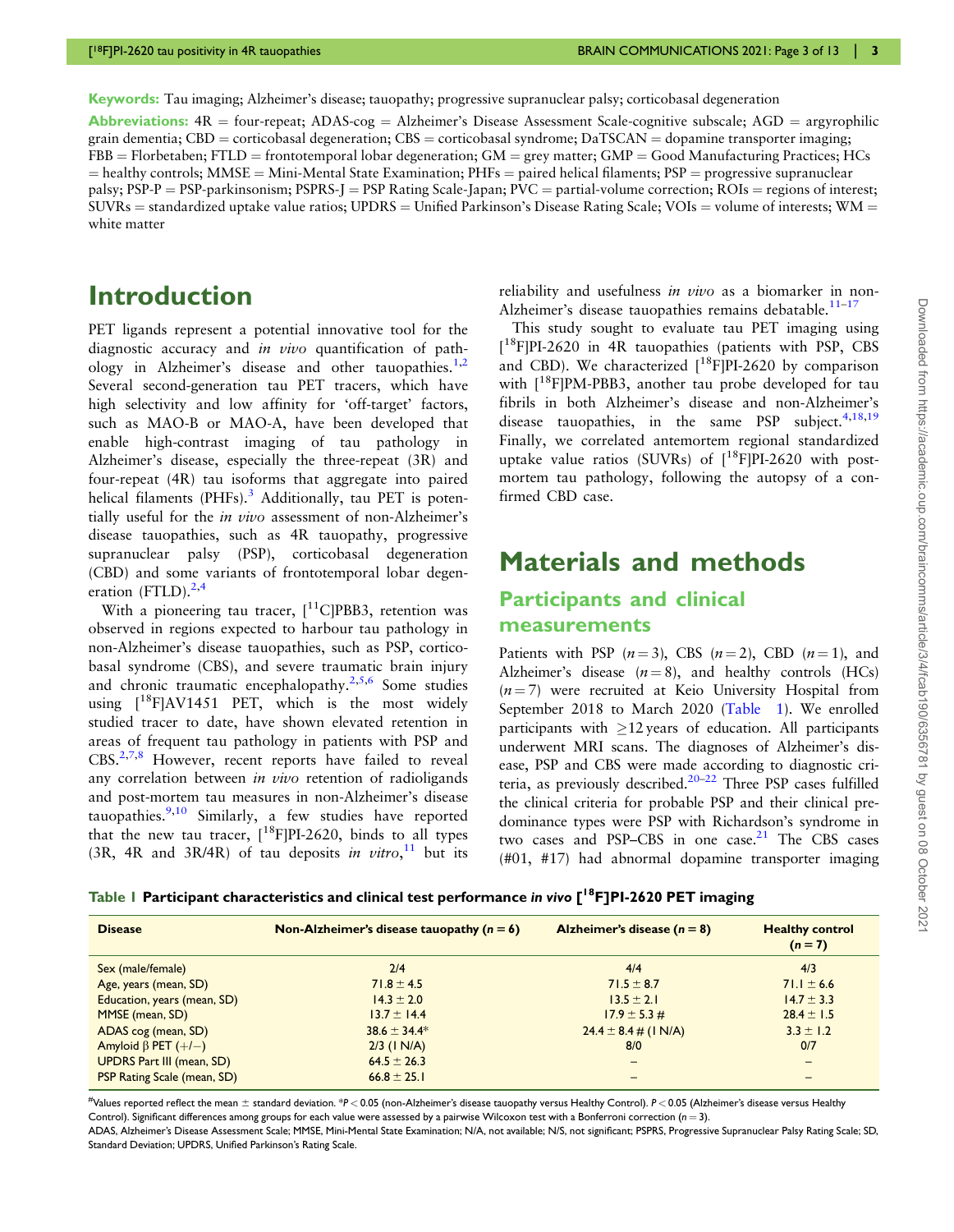<span id="page-2-0"></span>Keywords: Tau imaging; Alzheimer's disease; tauopathy; progressive supranuclear palsy; corticobasal degeneration

Abbreviations:  $4R =$  four-repeat; ADAS-cog = Alzheimer's Disease Assessment Scale-cognitive subscale; AGD = argyrophilic grain dementia; CBD = corticobasal degeneration; CBS = corticobasal syndrome; DaTSCAN = dopamine transporter imaging;  $FBB = Florbetaben; FTLD = frontotemporal lobar degeneration; GM = grey matter; GMP = Good Manufacturing Practice; HCs$  $=$  healthy controls; MMSE  $=$  Mini-Mental State Examination; PHFs  $=$  paired helical filaments; PSP  $=$  progressive supranuclear palsy;  $PSP-P = PSP-parkinsonism; PSPRS-J = PSP Rating Scale-Japan; PVC = partial-volume correction; ROIs = regions of interest;$  $SUVRs =$  standardized uptake value ratios; UPDRS = Unified Parkinson's Disease Rating Scale; VOIs = volume of interests; WM = white matter

## Introduction

PET ligands represent a potential innovative tool for the diagnostic accuracy and in vivo quantification of path-ology in Alzheimer's disease and other tauopathies.<sup>[1,2](#page-11-0)</sup> Several second-generation tau PET tracers, which have high selectivity and low affinity for 'off-target' factors, such as MAO-B or MAO-A, have been developed that enable high-contrast imaging of tau pathology in Alzheimer's disease, especially the three-repeat (3R) and four-repeat (4R) tau isoforms that aggregate into paired helical filaments (PHFs).<sup>[3](#page-11-0)</sup> Additionally, tau PET is potentially useful for the in vivo assessment of non-Alzheimer's disease tauopathies, such as 4R tauopathy, progressive supranuclear palsy (PSP), corticobasal degeneration (CBD) and some variants of frontotemporal lobar degeneration  $(FTLD)$ .<sup>[2,4](#page-11-0)</sup>

With a pioneering tau tracer,  $[11C]PBB3$ , retention was observed in regions expected to harbour tau pathology in non-Alzheimer's disease tauopathies, such as PSP, corticobasal syndrome (CBS), and severe traumatic brain injury and chronic traumatic encephalopathy.<sup>[2,5,6](#page-11-0)</sup> Some studies using  $[18F]$ AV1451 PET, which is the most widely studied tracer to date, have shown elevated retention in areas of frequent tau pathology in patients with PSP and  $CBS^{2,7,8}$  $CBS^{2,7,8}$  $CBS^{2,7,8}$  However, recent reports have failed to reveal any correlation between in vivo retention of radioligands and post-mortem tau measures in non-Alzheimer's disease tauopathies. $9,10$  Similarly, a few studies have reported that the new tau tracer,  $[$ <sup>18</sup>F|PI-2620, binds to all types (3R, 4R and 3R/4R) of tau deposits in vitro,<sup>[11](#page-11-0)</sup> but its

reliability and usefulness in vivo as a biomarker in non-Alzheimer's disease tauopathies remains debatable.<sup>[11](#page-11-0)–[17](#page-11-0)</sup>

This study sought to evaluate tau PET imaging using [<sup>18</sup>F]PI-2620 in 4R tauopathies (patients with PSP, CBS and CBD). We characterized  $[18$ FIPI-2620 by comparison with  $[18F]PM-PBB3$ , another tau probe developed for tau fibrils in both Alzheimer's disease and non-Alzheimer's disease tauopathies, in the same PSP subject.  $4,18,19$ Finally, we correlated antemortem regional standardized uptake value ratios (SUVRs) of  $[$ <sup>18</sup>F|PI-2620 with postmortem tau pathology, following the autopsy of a confirmed CBD case.

## Materials and methods

#### Participants and clinical measurements

Patients with PSP  $(n=3)$ , CBS  $(n=2)$ , CBD  $(n=1)$ , and Alzheimer's disease  $(n = 8)$ , and healthy controls (HCs)  $(n = 7)$  were recruited at Keio University Hospital from September 2018 to March 2020 (Table 1). We enrolled participants with  $\geq$ 12 years of education. All participants underwent MRI scans. The diagnoses of Alzheimer's disease, PSP and CBS were made according to diagnostic cri-teria, as previously described.<sup>[20](#page-11-0)–[22](#page-11-0)</sup> Three PSP cases fulfilled the clinical criteria for probable PSP and their clinical predominance types were PSP with Richardson's syndrome in two cases and PSP–CBS in one case. $21$  The CBS cases (#01, #17) had abnormal dopamine transporter imaging

#### Table 1 Participant characteristics and clinical test performance in vivo [<sup>18</sup>F]PI-2620 PET imaging

| <b>Disease</b>                     | Non-Alzheimer's disease tauopathy $(n = 6)$ | Alzheimer's disease $(n = 8)$      | <b>Healthy control</b><br>$(n = 7)$ |
|------------------------------------|---------------------------------------------|------------------------------------|-------------------------------------|
| Sex (male/female)                  | 2/4                                         | 4/4                                | 4/3                                 |
| Age, years (mean, SD)              | $71.8 \pm 4.5$                              | $71.5 \pm 8.7$                     | 71.1 $\pm$ 6.6                      |
| Education, years (mean, SD)        | $14.3 \pm 2.0$                              | $13.5 \pm 2.1$                     | $14.7 \pm 3.3$                      |
| MMSE (mean, SD)                    | $13.7 \pm 14.4$                             | $17.9 \pm 5.3 \#$                  | $28.4 \pm 1.5$                      |
| ADAS cog (mean, SD)                | $38.6 \pm 34.4*$                            | $24.4 \pm 8.4 \pm (1 \text{ N/A})$ | $3.3 \pm 1.2$                       |
| Amyloid $\beta$ PET $(+/-)$        | $2/3$ (1 N/A)                               | 8/0                                | 0/7                                 |
| <b>UPDRS Part III (mean, SD)</b>   | $64.5 \pm 26.3$                             |                                    | -                                   |
| <b>PSP Rating Scale (mean, SD)</b> | $66.8 \pm 25.1$                             |                                    |                                     |

...<br>#Values reported reflect the mean ± standard deviation. \*P< 0.05 (non-Alzheimer's disease tauopathy versus Healthy Control). P< 0.05 (Alzheimer's disease versus Healthy Control). Significant differences among groups for each value were assessed by a pairwise Wilcoxon test with a Bonferroni correction ( $n=3$ ).

ADAS, Alzheimer's Disease Assessment Scale; MMSE, Mini-Mental State Examination; N/A, not available; N/S, not significant; PSPRS, Progressive Supranuclear Palsy Rating Scale; SD, Standard Deviation; UPDRS, Unified Parkinson's Rating Scale.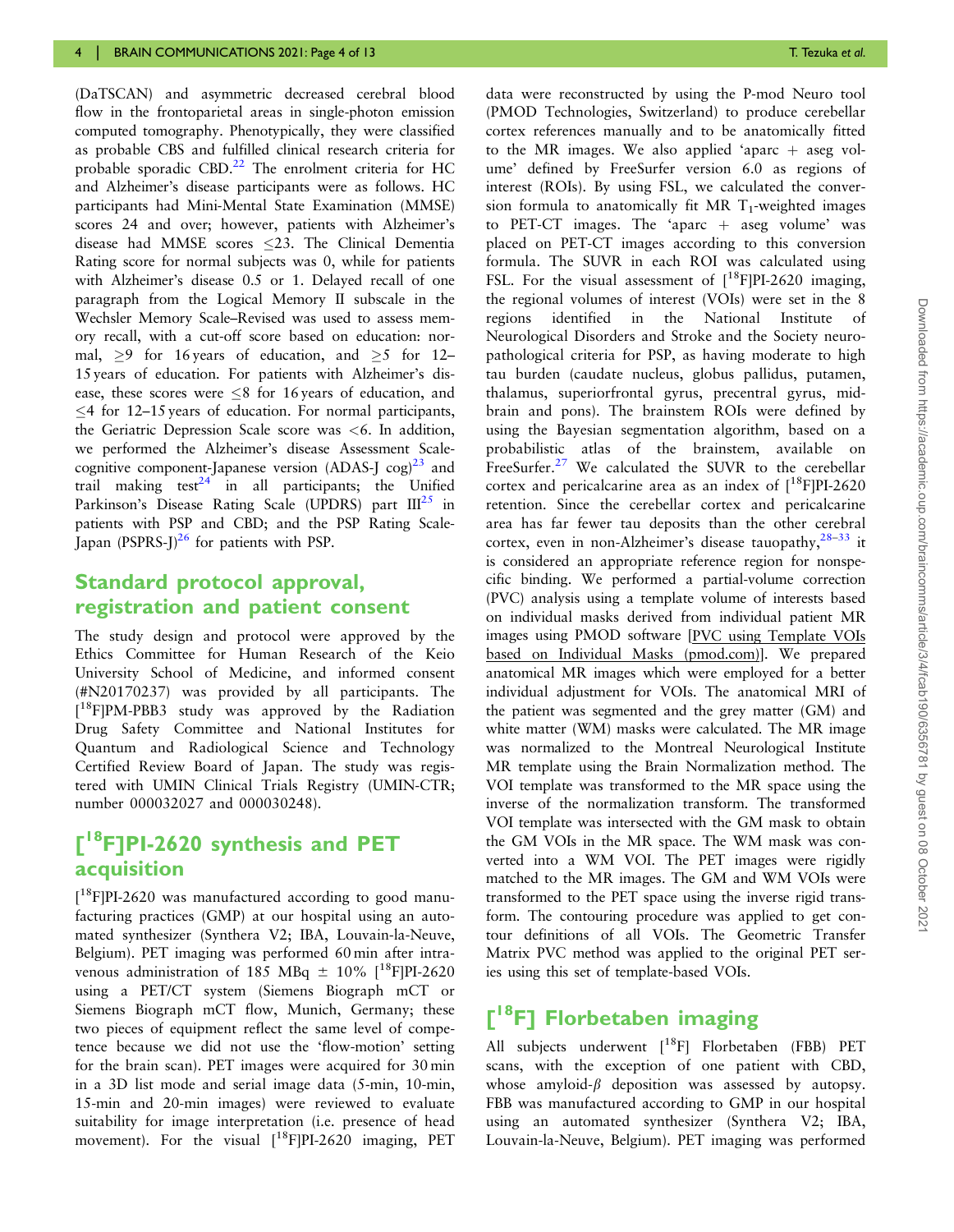<span id="page-3-0"></span>(DaTSCAN) and asymmetric decreased cerebral blood flow in the frontoparietal areas in single-photon emission computed tomography. Phenotypically, they were classified as probable CBS and fulfilled clinical research criteria for probable sporadic CBD. $^{22}$  The enrolment criteria for HC and Alzheimer's disease participants were as follows. HC participants had Mini-Mental State Examination (MMSE) scores 24 and over; however, patients with Alzheimer's disease had MMSE scores 23. The Clinical Dementia Rating score for normal subjects was 0, while for patients with Alzheimer's disease 0.5 or 1. Delayed recall of one paragraph from the Logical Memory II subscale in the Wechsler Memory Scale–Revised was used to assess memory recall, with a cut-off score based on education: normal,  $\geq$ 9 for 16 years of education, and  $\geq$ 5 for 12– 15 years of education. For patients with Alzheimer's disease, these scores were  $\leq 8$  for 16 years of education, and  $\leq$  4 for 12–15 years of education. For normal participants, the Geriatric Depression Scale score was <6. In addition, we performed the Alzheimer's disease Assessment Scalecognitive component-Japanese version (ADAS-J  $\cos^{23}$  $\cos^{23}$  $\cos^{23}$  and trail making test<sup>24</sup> in all participants; the Unified Parkinson's Disease Rating Scale (UPDRS) part  $III^{25}$  in patients with PSP and CBD; and the PSP Rating Scale-Japan (PSPRS-J) $^{26}$  for patients with PSP.

#### Standard protocol approval, registration and patient consent

The study design and protocol were approved by the Ethics Committee for Human Research of the Keio University School of Medicine, and informed consent (#N20170237) was provided by all participants. The [ 18F]PM-PBB3 study was approved by the Radiation Drug Safety Committee and National Institutes for Quantum and Radiological Science and Technology Certified Review Board of Japan. The study was registered with UMIN Clinical Trials Registry (UMIN-CTR; number 000032027 and 000030248).

## [<sup>18</sup>F]PI-2620 synthesis and PET acquisition

[<sup>18</sup>F]PI-2620 was manufactured according to good manufacturing practices (GMP) at our hospital using an automated synthesizer (Synthera V2; IBA, Louvain-la-Neuve, Belgium). PET imaging was performed 60 min after intravenous administration of 185 MBq  $\pm$  10% [<sup>18</sup>F]PI-2620 using a PET/CT system (Siemens Biograph mCT or Siemens Biograph mCT flow, Munich, Germany; these two pieces of equipment reflect the same level of competence because we did not use the 'flow-motion' setting for the brain scan). PET images were acquired for 30 min in a 3D list mode and serial image data (5-min, 10-min, 15-min and 20-min images) were reviewed to evaluate suitability for image interpretation (i.e. presence of head movement). For the visual  $[{}^{18}F]PI-2620$  imaging, PET

data were reconstructed by using the P-mod Neuro tool (PMOD Technologies, Switzerland) to produce cerebellar cortex references manually and to be anatomically fitted to the MR images. We also applied 'aparc  $+$  aseg volume' defined by FreeSurfer version 6.0 as regions of interest (ROIs). By using FSL, we calculated the conversion formula to anatomically fit MR  $T_1$ -weighted images to PET-CT images. The 'aparc  $+$  aseg volume' was placed on PET-CT images according to this conversion formula. The SUVR in each ROI was calculated using FSL. For the visual assessment of  $[{}^{18}F]PI-2620$  imaging, the regional volumes of interest (VOIs) were set in the 8 regions identified in the National Institute of Neurological Disorders and Stroke and the Society neuropathological criteria for PSP, as having moderate to high tau burden (caudate nucleus, globus pallidus, putamen, thalamus, superiorfrontal gyrus, precentral gyrus, midbrain and pons). The brainstem ROIs were defined by using the Bayesian segmentation algorithm, based on a probabilistic atlas of the brainstem, available on FreeSurfer.<sup>[27](#page-11-0)</sup> We calculated the SUVR to the cerebellar cortex and pericalcarine area as an index of  $[18F]$ PI-2620 retention. Since the cerebellar cortex and pericalcarine area has far fewer tau deposits than the other cerebral cortex, even in non-Alzheimer's disease tauopathy,  $28-33$  it is considered an appropriate reference region for nonspecific binding. We performed a partial-volume correction (PVC) analysis using a template volume of interests based on individual masks derived from individual patient MR images using PMOD software [PVC using Template VOIs based on Individual Masks (pmod.com)]. We prepared anatomical MR images which were employed for a better individual adjustment for VOIs. The anatomical MRI of the patient was segmented and the grey matter (GM) and white matter (WM) masks were calculated. The MR image was normalized to the Montreal Neurological Institute MR template using the Brain Normalization method. The VOI template was transformed to the MR space using the inverse of the normalization transform. The transformed VOI template was intersected with the GM mask to obtain the GM VOIs in the MR space. The WM mask was converted into a WM VOI. The PET images were rigidly matched to the MR images. The GM and WM VOIs were transformed to the PET space using the inverse rigid transform. The contouring procedure was applied to get contour definitions of all VOIs. The Geometric Transfer Matrix PVC method was applied to the original PET series using this set of template-based VOIs.

## [<sup>18</sup>F] Florbetaben imaging

All subjects underwent [18F] Florbetaben (FBB) PET scans, with the exception of one patient with CBD, whose amyloid- $\beta$  deposition was assessed by autopsy. FBB was manufactured according to GMP in our hospital using an automated synthesizer (Synthera V2; IBA, Louvain-la-Neuve, Belgium). PET imaging was performed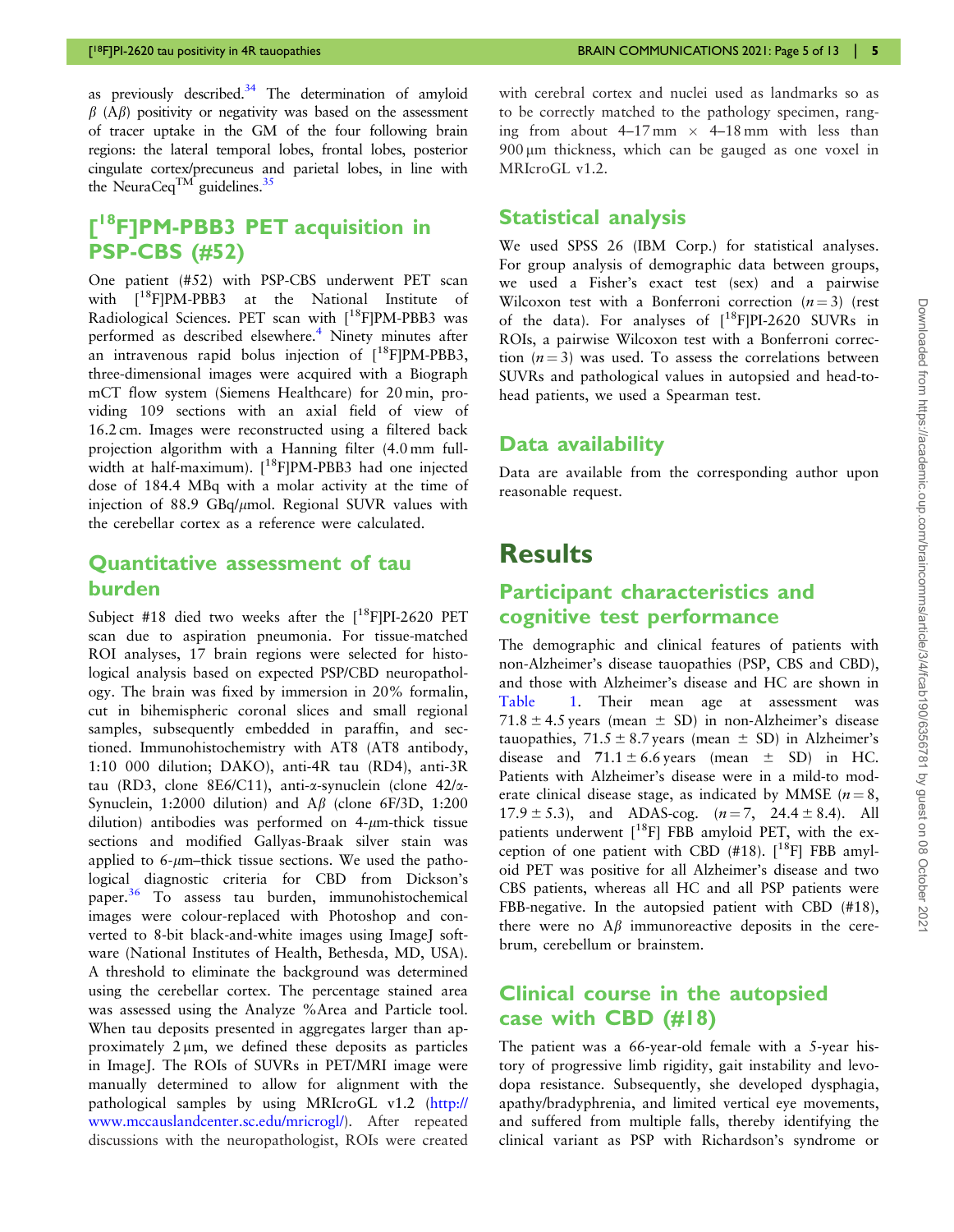<span id="page-4-0"></span>as previously described. $34$  The determination of amyloid  $\beta$  (A $\beta$ ) positivity or negativity was based on the assessment of tracer uptake in the GM of the four following brain regions: the lateral temporal lobes, frontal lobes, posterior cingulate cortex/precuneus and parietal lobes, in line with the NeuraCeq<sup>TM</sup> guidelines.<sup>35</sup>

## [<sup>18</sup>F]PM-PBB3 PET acquisition in PSP-CBS (#52)

One patient (#52) with PSP-CBS underwent PET scan with <sup>[18</sup>F]PM-PBB3 at the National Institute of Radiological Sciences. PET scan with  $[18F]PM-PBB3$  was performed as described elsewhere.<sup>[4](#page-11-0)</sup> Ninety minutes after an intravenous rapid bolus injection of  $[18F]PM-PBB3$ , three-dimensional images were acquired with a Biograph mCT flow system (Siemens Healthcare) for 20 min, providing 109 sections with an axial field of view of 16.2 cm. Images were reconstructed using a filtered back projection algorithm with a Hanning filter (4.0 mm fullwidth at half-maximum). [18F]PM-PBB3 had one injected dose of 184.4 MBq with a molar activity at the time of injection of 88.9 GBq/ $\mu$ mol. Regional SUVR values with the cerebellar cortex as a reference were calculated.

#### Quantitative assessment of tau burden

Subject #18 died two weeks after the  $[{}^{18}F]PI-2620$  PET scan due to aspiration pneumonia. For tissue-matched ROI analyses, 17 brain regions were selected for histological analysis based on expected PSP/CBD neuropathology. The brain was fixed by immersion in 20% formalin, cut in bihemispheric coronal slices and small regional samples, subsequently embedded in paraffin, and sectioned. Immunohistochemistry with AT8 (AT8 antibody, 1:10 000 dilution; DAKO), anti-4R tau (RD4), anti-3R tau (RD3, clone 8E6/C11), anti-a-synuclein (clone 42/a-Synuclein, 1:2000 dilution) and  $\overrightarrow{AB}$  (clone 6F/3D, 1:200) dilution) antibodies was performed on  $4\text{-}\mu\text{m}$ -thick tissue sections and modified Gallyas-Braak silver stain was applied to  $6\text{-}\mu\text{m}$ –thick tissue sections. We used the pathological diagnostic criteria for CBD from Dickson's paper.<sup>[36](#page-11-0)</sup> To assess tau burden, immunohistochemical images were colour-replaced with Photoshop and converted to 8-bit black-and-white images using ImageJ software (National Institutes of Health, Bethesda, MD, USA). A threshold to eliminate the background was determined using the cerebellar cortex. The percentage stained area was assessed using the Analyze %Area and Particle tool. When tau deposits presented in aggregates larger than approximately  $2 \mu m$ , we defined these deposits as particles in ImageJ. The ROIs of SUVRs in PET/MRI image were manually determined to allow for alignment with the pathological samples by using MRIcroGL v1.2 [\(http://](http://www.mccauslandcenter.sc.edu/mricrogl/) [www.mccauslandcenter.sc.edu/mricrogl/\)](http://www.mccauslandcenter.sc.edu/mricrogl/). After repeated discussions with the neuropathologist, ROIs were created

with cerebral cortex and nuclei used as landmarks so as to be correctly matched to the pathology specimen, ranging from about  $4-17$  mm  $\times$   $4-18$  mm with less than 900 mm thickness, which can be gauged as one voxel in MRIcroGL v1.2.

#### Statistical analysis

We used SPSS 26 (IBM Corp.) for statistical analyses. For group analysis of demographic data between groups, we used a Fisher's exact test (sex) and a pairwise Wilcoxon test with a Bonferroni correction  $(n = 3)$  (rest of the data). For analyses of  $[^{18}F]PI-2620$  SUVRs in ROIs, a pairwise Wilcoxon test with a Bonferroni correction  $(n = 3)$  was used. To assess the correlations between SUVRs and pathological values in autopsied and head-tohead patients, we used a Spearman test.

#### Data availability

Data are available from the corresponding author upon reasonable request.

## **Results**

#### Participant characteristics and cognitive test performance

The demographic and clinical features of patients with non-Alzheimer's disease tauopathies (PSP, CBS and CBD), and those with Alzheimer's disease and HC are shown in [Table 1.](#page-2-0) Their mean age at assessment was 71.8  $\pm$  4.5 years (mean  $\pm$  SD) in non-Alzheimer's disease tauopathies,  $71.5 \pm 8.7$  years (mean  $\pm$  SD) in Alzheimer's disease and  $71.1 \pm 6.6$  years (mean  $\pm$  SD) in HC. Patients with Alzheimer's disease were in a mild-to moderate clinical disease stage, as indicated by MMSE ( $n = 8$ ,  $17.9 \pm 5.3$ ), and ADAS-cog.  $(n=7, 24.4 \pm 8.4)$ . All patients underwent  $[$ <sup>18</sup>F] FBB amyloid PET, with the exception of one patient with CBD  $(\text{\#18})$ . [<sup>18</sup>F] FBB amyloid PET was positive for all Alzheimer's disease and two CBS patients, whereas all HC and all PSP patients were FBB-negative. In the autopsied patient with CBD (#18), there were no  $A\beta$  immunoreactive deposits in the cerebrum, cerebellum or brainstem.

#### Clinical course in the autopsied case with CBD (#18)

The patient was a 66-year-old female with a 5-year history of progressive limb rigidity, gait instability and levodopa resistance. Subsequently, she developed dysphagia, apathy/bradyphrenia, and limited vertical eye movements, and suffered from multiple falls, thereby identifying the clinical variant as PSP with Richardson's syndrome or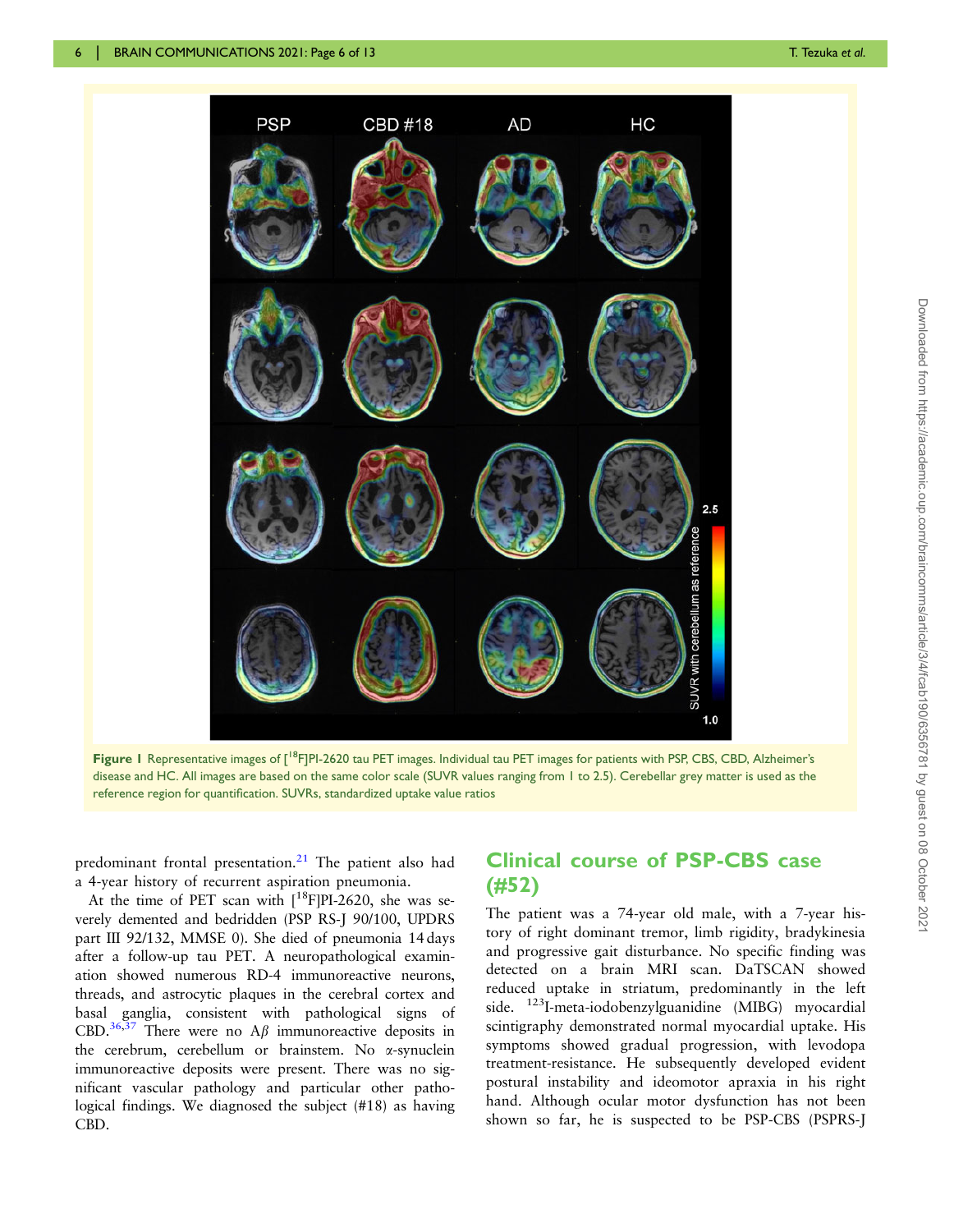<span id="page-5-0"></span>

Figure 1 Representative images of  $\int^{\text{18}}$ FJPI-2620 tau PET images. Individual tau PET images for patients with PSP, CBS, CBD, Alzheimer's disease and HC. All images are based on the same color scale (SUVR values ranging from 1 to 2.5). Cerebellar grey matter is used as the reference region for quantification. SUVRs, standardized uptake value ratios

predominant frontal presentation. $21$  The patient also had a 4-year history of recurrent aspiration pneumonia.

At the time of PET scan with  $[18F]$ PI-2620, she was severely demented and bedridden (PSP RS-J 90/100, UPDRS part III 92/132, MMSE 0). She died of pneumonia 14 days after a follow-up tau PET. A neuropathological examination showed numerous RD-4 immunoreactive neurons, threads, and astrocytic plaques in the cerebral cortex and basal ganglia, consistent with pathological signs of CBD.<sup>36,[37](#page-12-0)</sup> There were no A $\beta$  immunoreactive deposits in the cerebrum, cerebellum or brainstem. No a-synuclein immunoreactive deposits were present. There was no significant vascular pathology and particular other pathological findings. We diagnosed the subject (#18) as having CBD.

#### Clinical course of PSP-CBS case (#52)

The patient was a 74-year old male, with a 7-year history of right dominant tremor, limb rigidity, bradykinesia and progressive gait disturbance. No specific finding was detected on a brain MRI scan. DaTSCAN showed reduced uptake in striatum, predominantly in the left side. 123I-meta-iodobenzylguanidine (MIBG) myocardial scintigraphy demonstrated normal myocardial uptake. His symptoms showed gradual progression, with levodopa treatment-resistance. He subsequently developed evident postural instability and ideomotor apraxia in his right hand. Although ocular motor dysfunction has not been shown so far, he is suspected to be PSP-CBS (PSPRS-J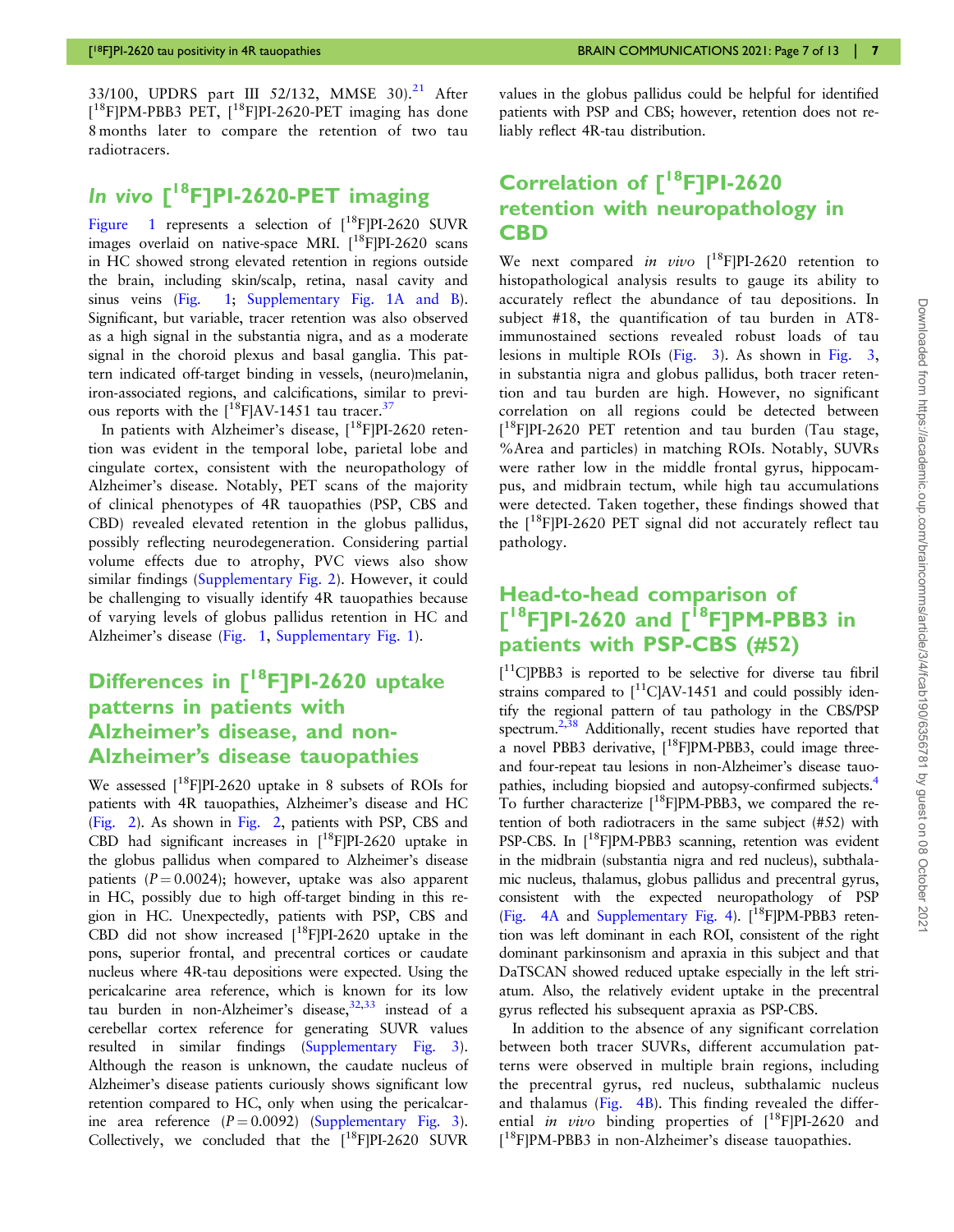<span id="page-6-0"></span>33/100, UPDRS part III 52/132, MMSE  $30^{21}$  $30^{21}$  $30^{21}$  After  $[$ <sup>18</sup>F]PM-PBB3 PET,  $[$ <sup>18</sup>F]PI-2620-PET imaging has done 8 months later to compare the retention of two tau radiotracers.

## In vivo [<sup>18</sup>F]PI-2620-PET imaging

[Figure 1](#page-5-0) represents a selection of  $[18F]$ PI-2620 SUVR images overlaid on native-space MRI.  $[$ <sup>18</sup>F]PI-2620 scans in HC showed strong elevated retention in regions outside the brain, including skin/scalp, retina, nasal cavity and sinus veins [\(Fig. 1;](#page-5-0) [Supplementary Fig. 1A and B](https://academic.oup.com/braincomms/article-lookup/doi/10.1093/braincomms/fcab190#supplementary-data)). Significant, but variable, tracer retention was also observed as a high signal in the substantia nigra, and as a moderate signal in the choroid plexus and basal ganglia. This pattern indicated off-target binding in vessels, (neuro)melanin, iron-associated regions, and calcifications, similar to previous reports with the  $[18F]$ AV-1451 tau tracer.<sup>37</sup>

In patients with Alzheimer's disease,  $[18F]$ PI-2620 retention was evident in the temporal lobe, parietal lobe and cingulate cortex, consistent with the neuropathology of Alzheimer's disease. Notably, PET scans of the majority of clinical phenotypes of 4R tauopathies (PSP, CBS and CBD) revealed elevated retention in the globus pallidus, possibly reflecting neurodegeneration. Considering partial volume effects due to atrophy, PVC views also show similar findings [\(Supplementary Fig. 2\)](https://academic.oup.com/braincomms/article-lookup/doi/10.1093/braincomms/fcab190#supplementary-data). However, it could be challenging to visually identify 4R tauopathies because of varying levels of globus pallidus retention in HC and Alzheimer's disease [\(Fig. 1](#page-5-0), [Supplementary Fig. 1](https://academic.oup.com/braincomms/article-lookup/doi/10.1093/braincomms/fcab190#supplementary-data)).

## Differences in  $\Gamma^{18}$ F]PI-2620 uptake patterns in patients with Alzheimer's disease, and non-Alzheimer's disease tauopathies

We assessed  $[18F]$ PI-2620 uptake in 8 subsets of ROIs for patients with 4R tauopathies, Alzheimer's disease and HC ([Fig. 2](#page-7-0)). As shown in [Fig. 2,](#page-7-0) patients with PSP, CBS and CBD had significant increases in  $[$ <sup>18</sup>F|PI-2620 uptake in the globus pallidus when compared to Alzheimer's disease patients ( $P = 0.0024$ ); however, uptake was also apparent in HC, possibly due to high off-target binding in this region in HC. Unexpectedly, patients with PSP, CBS and CBD did not show increased  $[$ <sup>18</sup>F]PI-2620 uptake in the pons, superior frontal, and precentral cortices or caudate nucleus where 4R-tau depositions were expected. Using the pericalcarine area reference, which is known for its low tau burden in non-Alzheimer's disease,  $32,33$  instead of a cerebellar cortex reference for generating SUVR values resulted in similar findings [\(Supplementary Fig. 3](https://academic.oup.com/braincomms/article-lookup/doi/10.1093/braincomms/fcab190#supplementary-data)). Although the reason is unknown, the caudate nucleus of Alzheimer's disease patients curiously shows significant low retention compared to HC, only when using the pericalcarine area reference  $(P = 0.0092)$  [\(Supplementary Fig. 3](https://academic.oup.com/braincomms/article-lookup/doi/10.1093/braincomms/fcab190#supplementary-data)). Collectively, we concluded that the  $[$ <sup>18</sup>F]PI-2620 SUVR

values in the globus pallidus could be helpful for identified patients with PSP and CBS; however, retention does not reliably reflect 4R-tau distribution.

## Correlation of [<sup>18</sup>F]PI-2620 retention with neuropathology in CBD

We next compared in vivo  $[^{18}F]$ PI-2620 retention to histopathological analysis results to gauge its ability to accurately reflect the abundance of tau depositions. In subject #18, the quantification of tau burden in AT8 immunostained sections revealed robust loads of tau lesions in multiple ROIs [\(Fig. 3](#page-8-0)). As shown in [Fig. 3,](#page-8-0) in substantia nigra and globus pallidus, both tracer retention and tau burden are high. However, no significant correlation on all regions could be detected between [<sup>18</sup>F]PI-2620 PET retention and tau burden (Tau stage, %Area and particles) in matching ROIs. Notably, SUVRs were rather low in the middle frontal gyrus, hippocampus, and midbrain tectum, while high tau accumulations were detected. Taken together, these findings showed that the  $[18F]$ PI-2620 PET signal did not accurately reflect tau pathology.

#### Head-to-head comparison of  $[$ <sup>18</sup>F]PI-2620 and  $[$ <sup>18</sup>F]PM-PBB3 in patients with PSP-CBS (#52)

[ 11C]PBB3 is reported to be selective for diverse tau fibril strains compared to  $\int_{0}^{11}C\vert AV-1451$  and could possibly identify the regional pattern of tau pathology in the CBS/PSP spectrum.<sup>2[,38](#page-12-0)</sup> Additionally, recent studies have reported that a novel PBB3 derivative,  $[18F]PM-PBB3$ , could image threeand four-repeat tau lesions in non-Alzheimer's disease tauopathies, including biopsied and autopsy-confirmed subjects.[4](#page-11-0) To further characterize  $[$ <sup>18</sup>F]PM-PBB3, we compared the retention of both radiotracers in the same subject (#52) with PSP-CBS. In [<sup>18</sup>F]PM-PBB3 scanning, retention was evident in the midbrain (substantia nigra and red nucleus), subthalamic nucleus, thalamus, globus pallidus and precentral gyrus, consistent with the expected neuropathology of PSP [\(Fig. 4A](#page-9-0) and [Supplementary Fig. 4\)](https://academic.oup.com/braincomms/article-lookup/doi/10.1093/braincomms/fcab190#supplementary-data).  $[$ <sup>18</sup>F|PM-PBB3 retention was left dominant in each ROI, consistent of the right dominant parkinsonism and apraxia in this subject and that DaTSCAN showed reduced uptake especially in the left striatum. Also, the relatively evident uptake in the precentral gyrus reflected his subsequent apraxia as PSP-CBS.

In addition to the absence of any significant correlation between both tracer SUVRs, different accumulation patterns were observed in multiple brain regions, including the precentral gyrus, red nucleus, subthalamic nucleus and thalamus ([Fig. 4B\)](#page-9-0). This finding revealed the differential *in vivo* binding properties of  $[$ <sup>18</sup>F]PI-2620 and [ 18F]PM-PBB3 in non-Alzheimer's disease tauopathies.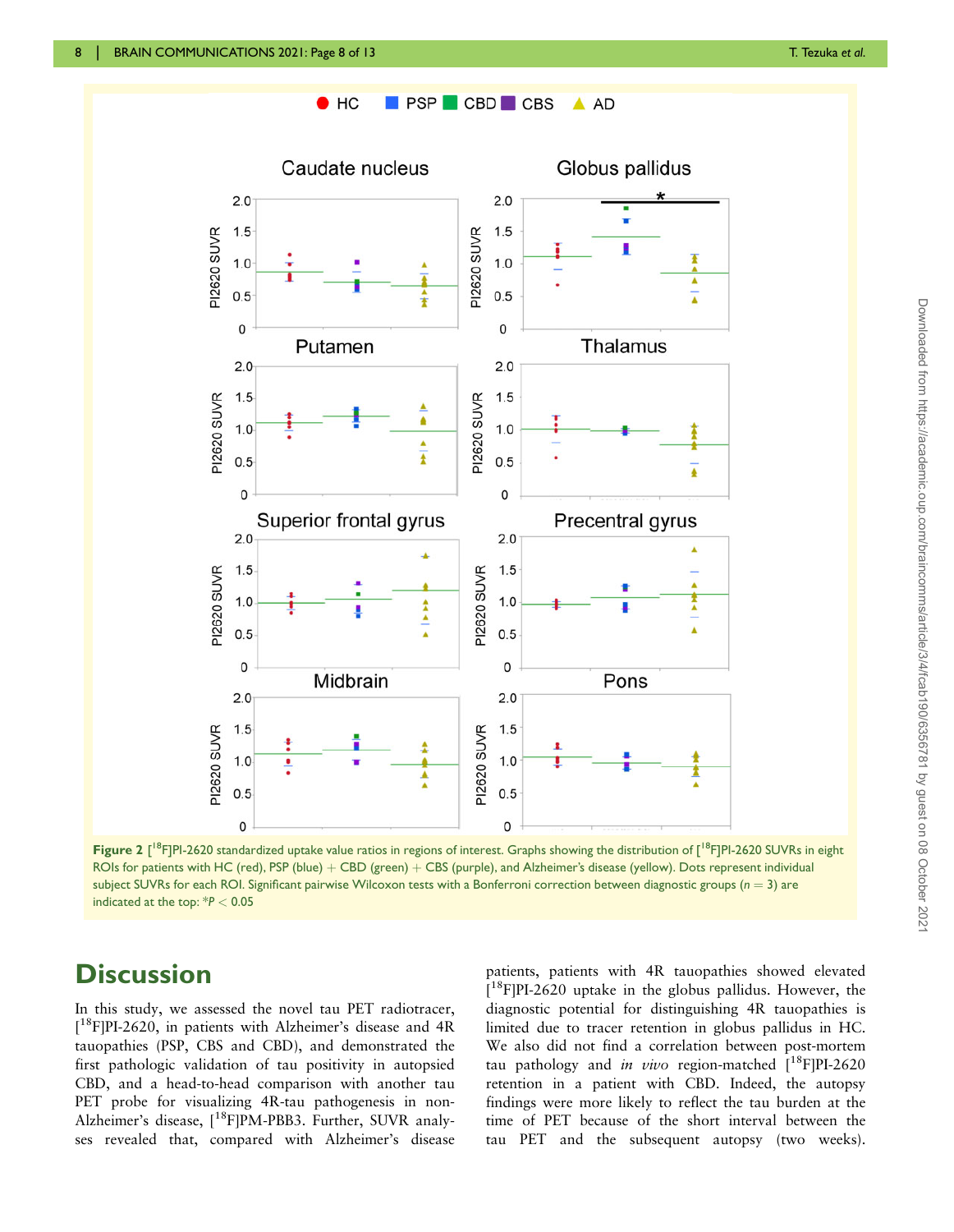

<span id="page-7-0"></span>

Figure 2 [<sup>18</sup>F]PI-2620 standardized uptake value ratios in regions of interest. Graphs showing the distribution of [<sup>18</sup>F]PI-2620 SUVRs in eight ROIs for patients with HC (red), PSP (blue) + CBD (green) + CBS (purple), and Alzheimer's disease (yellow). Dots represent individual subject SUVRs for each ROI. Significant pairwise Wilcoxon tests with a Bonferroni correction between diagnostic groups ( $n = 3$ ) are indicated at the top: \*P < 0.05

## **Discussion**

In this study, we assessed the novel tau PET radiotracer, [ 18F]PI-2620, in patients with Alzheimer's disease and 4R tauopathies (PSP, CBS and CBD), and demonstrated the first pathologic validation of tau positivity in autopsied CBD, and a head-to-head comparison with another tau PET probe for visualizing 4R-tau pathogenesis in non-Alzheimer's disease, [<sup>18</sup>F]PM-PBB3. Further, SUVR analyses revealed that, compared with Alzheimer's disease

patients, patients with 4R tauopathies showed elevated  $[$ <sup>18</sup>F]PI-2620 uptake in the globus pallidus. However, the diagnostic potential for distinguishing 4R tauopathies is limited due to tracer retention in globus pallidus in HC. We also did not find a correlation between post-mortem tau pathology and *in vivo* region-matched  $\binom{18}{1}$ PI-2620 retention in a patient with CBD. Indeed, the autopsy findings were more likely to reflect the tau burden at the time of PET because of the short interval between the tau PET and the subsequent autopsy (two weeks).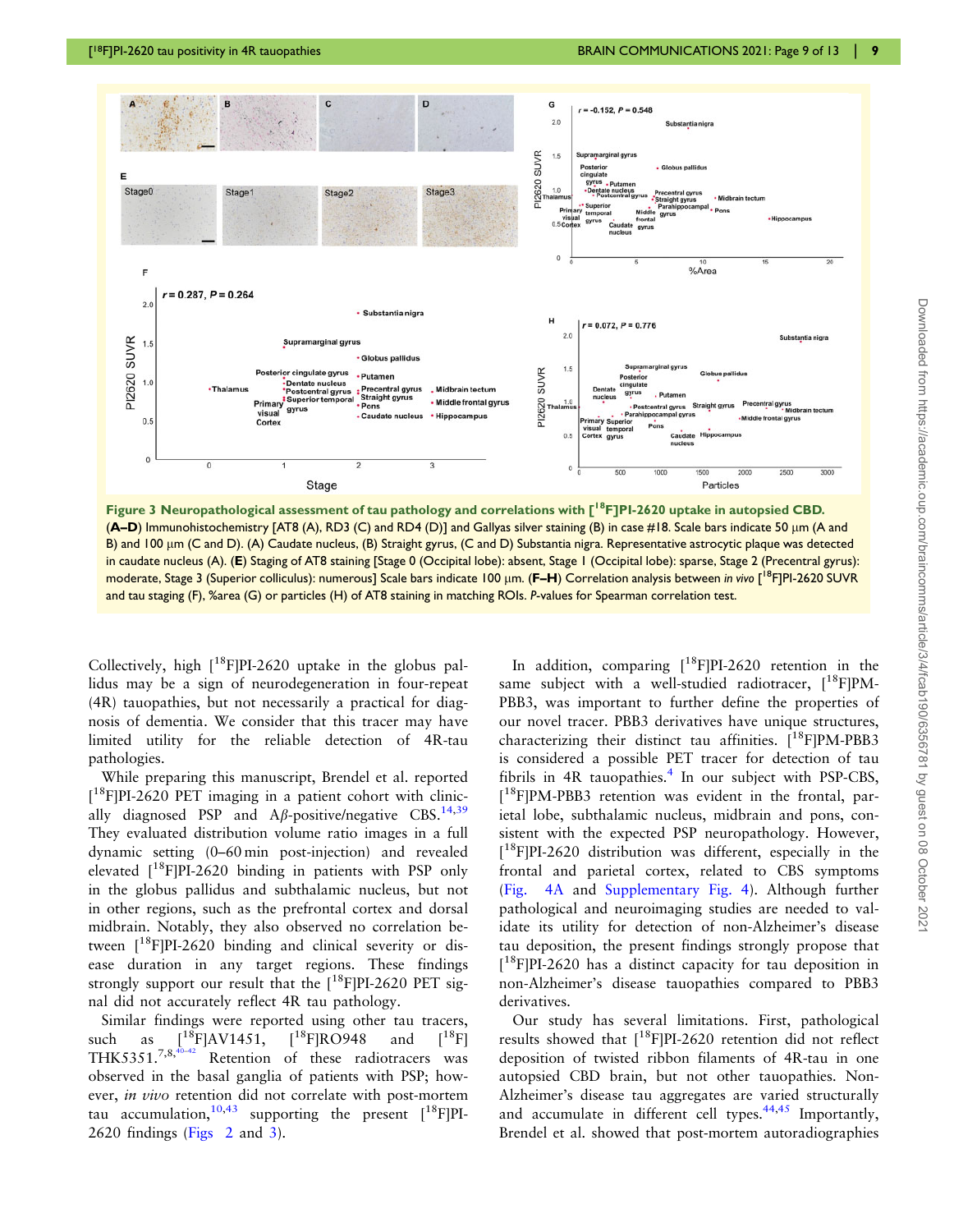<span id="page-8-0"></span>

Figure 3 Neuropathological assessment of tau pathology and correlations with  $\Gamma^{18}$ FJPI-2620 uptake in autopsied CBD. (A–D) Immunohistochemistry [AT8 (A), RD3 (C) and RD4 (D)] and Gallyas silver staining (B) in case #18. Scale bars indicate 50 lm (A and B) and 100  $\mu$ m (C and D). (A) Caudate nucleus, (B) Straight gyrus, (C and D) Substantia nigra. Representative astrocytic plaque was detected in caudate nucleus (A). (E) Staging of AT8 staining [Stage 0 (Occipital lobe): absent, Stage 1 (Occipital lobe): sparse, Stage 2 (Precentral gyrus): moderate, Stage 3 (Superior colliculus): numerous] Scale bars indicate 100 μm. (**F–H**) Correlation analysis between *in vivo* [<sup>18</sup>F]PI-2620 SUVR and tau staging (F), %area (G) or particles (H) of AT8 staining in matching ROIs. P-values for Spearman correlation test.

Collectively, high  $[18F]$ PI-2620 uptake in the globus pallidus may be a sign of neurodegeneration in four-repeat (4R) tauopathies, but not necessarily a practical for diagnosis of dementia. We consider that this tracer may have limited utility for the reliable detection of 4R-tau pathologies.

While preparing this manuscript, Brendel et al. reported [<sup>18</sup>F]PI-2620 PET imaging in a patient cohort with clinically diagnosed PSP and A $\beta$ -positive/negative CBS.<sup>[14,](#page-11-0)[39](#page-12-0)</sup> They evaluated distribution volume ratio images in a full dynamic setting (0–60 min post-injection) and revealed elevated  $[18F]$ PI-2620 binding in patients with PSP only in the globus pallidus and subthalamic nucleus, but not in other regions, such as the prefrontal cortex and dorsal midbrain. Notably, they also observed no correlation between  $[18F]$ PI-2620 binding and clinical severity or disease duration in any target regions. These findings strongly support our result that the  $[18F]$ PI-2620 PET signal did not accurately reflect 4R tau pathology.

Similar findings were reported using other tau tracers, such as  $\begin{bmatrix} 1^8F \end{bmatrix} AV1451$ ,  $\begin{bmatrix} 1^8F \end{bmatrix} RO948$  and  $\begin{bmatrix} 1^8F \end{bmatrix} THK5351.^{7,8,40-42}$  Retention of these radiotracers was Retention of these radiotracers was observed in the basal ganglia of patients with PSP; however, in vivo retention did not correlate with post-mortem tau accumulation,  $10,43$  $10,43$  supporting the present  $[18F]$ PI-2620 findings ([Figs 2](#page-7-0) and 3).

In addition, comparing  $[18F]$ PI-2620 retention in the same subject with a well-studied radiotracer,  $[18F]PM-$ PBB3, was important to further define the properties of our novel tracer. PBB3 derivatives have unique structures, characterizing their distinct tau affinities.  $[$ <sup>18</sup>F]PM-PBB3 is considered a possible PET tracer for detection of tau fibrils in  $AR$  tauopathies.<sup>[4](#page-11-0)</sup> In our subject with PSP-CBS, [ 18F]PM-PBB3 retention was evident in the frontal, parietal lobe, subthalamic nucleus, midbrain and pons, consistent with the expected PSP neuropathology. However, [ 18F]PI-2620 distribution was different, especially in the frontal and parietal cortex, related to CBS symptoms ([Fig. 4A](#page-9-0) and [Supplementary Fig. 4](https://academic.oup.com/braincomms/article-lookup/doi/10.1093/braincomms/fcab190#supplementary-data)). Although further pathological and neuroimaging studies are needed to validate its utility for detection of non-Alzheimer's disease tau deposition, the present findings strongly propose that [ 18F]PI-2620 has a distinct capacity for tau deposition in non-Alzheimer's disease tauopathies compared to PBB3 derivatives.

Our study has several limitations. First, pathological results showed that  $[18F]$ PI-2620 retention did not reflect deposition of twisted ribbon filaments of 4R-tau in one autopsied CBD brain, but not other tauopathies. Non-Alzheimer's disease tau aggregates are varied structurally and accumulate in different cell types. $44,45$  Importantly, Brendel et al. showed that post-mortem autoradiographies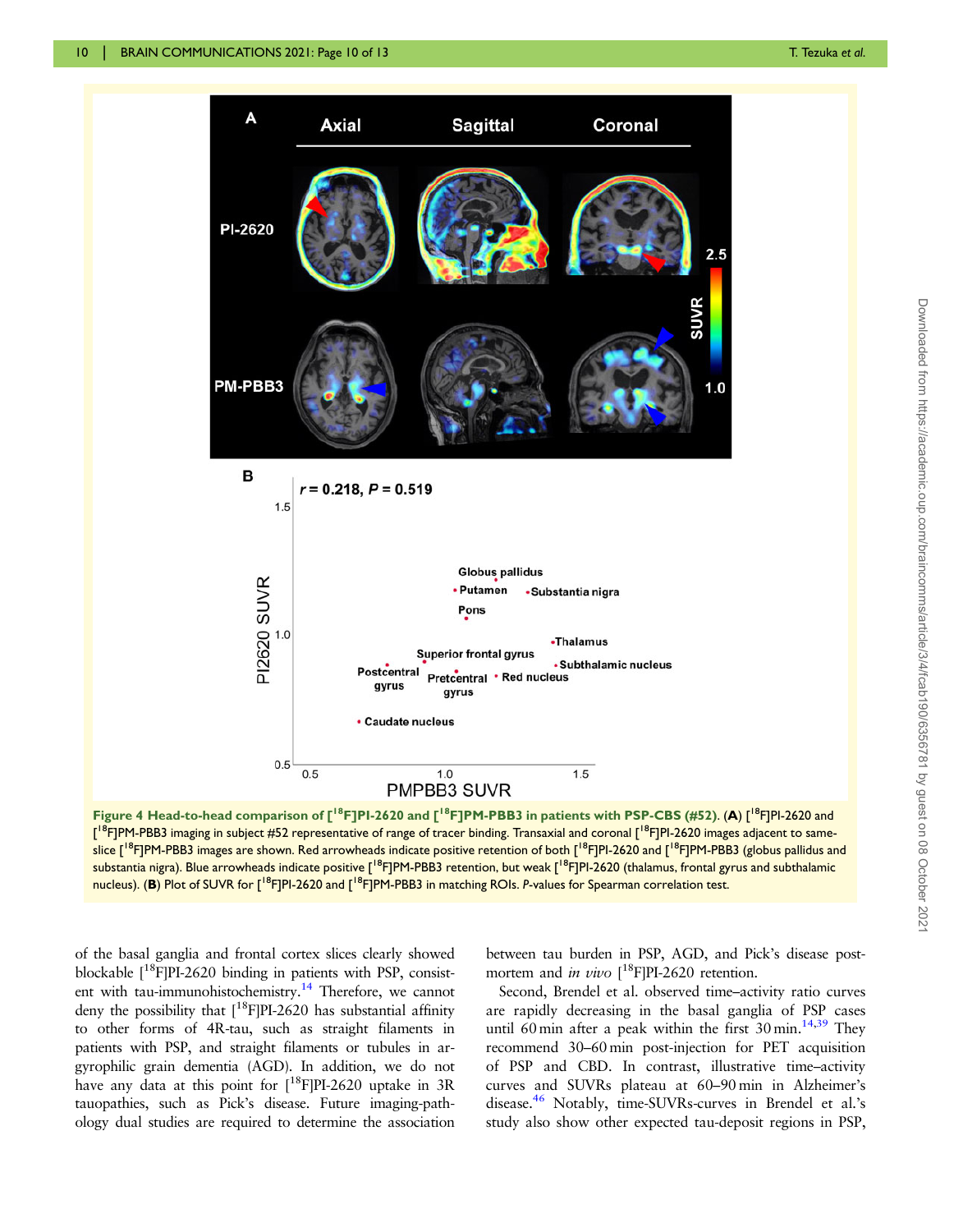<span id="page-9-0"></span>

Figure 4 Head-to-head comparison of  $[{}^{18}F]$ PI-2620 and  $[{}^{18}F]$ PM-PBB3 in patients with PSP-CBS (#52). (A)  $[{}^{18}F]$ PI-2620 and [<sup>18</sup>F]PM-PBB3 imaging in subject #52 representative of range of tracer binding. Transaxial and coronal [<sup>18</sup>F]PI-2620 images adjacent to sameslice [<sup>18</sup>F]PM-PBB3 images are shown. Red arrowheads indicate positive retention of both [<sup>18</sup>F]PI-2620 and [<sup>18</sup>F]PM-PBB3 (globus pallidus and substantia nigra). Blue arrowheads indicate positive [<sup>18</sup>F]PM-PBB3 retention, but weak [<sup>18</sup>F]PI-2620 (thalamus, frontal gyrus and subthalamic nucleus). (B) Plot of SUVR for [<sup>18</sup>F]PI-2620 and [<sup>18</sup>F]PM-PBB3 in matching ROIs. P-values for Spearman correlation test.

of the basal ganglia and frontal cortex slices clearly showed blockable  $[$ <sup>18</sup>F]PI-2620 binding in patients with PSP, consistent with tau-immunohistochemistry.<sup>14</sup> Therefore, we cannot deny the possibility that  $[$ <sup>18</sup>F]PI-2620 has substantial affinity to other forms of 4R-tau, such as straight filaments in patients with PSP, and straight filaments or tubules in argyrophilic grain dementia (AGD). In addition, we do not have any data at this point for  $[^{18}F]PI-2620$  uptake in 3R tauopathies, such as Pick's disease. Future imaging-pathology dual studies are required to determine the association

between tau burden in PSP, AGD, and Pick's disease postmortem and *in vivo*  $[^{18}F]$ PI-2620 retention.

Second, Brendel et al. observed time–activity ratio curves are rapidly decreasing in the basal ganglia of PSP cases until 60 min after a peak within the first  $30 \text{ min.}^{14,39}$  $30 \text{ min.}^{14,39}$  $30 \text{ min.}^{14,39}$  $30 \text{ min.}^{14,39}$  They recommend 30–60 min post-injection for PET acquisition of PSP and CBD. In contrast, illustrative time–activity curves and SUVRs plateau at 60–90 min in Alzheimer's disease[.46](#page-12-0) Notably, time-SUVRs-curves in Brendel et al.'s study also show other expected tau-deposit regions in PSP,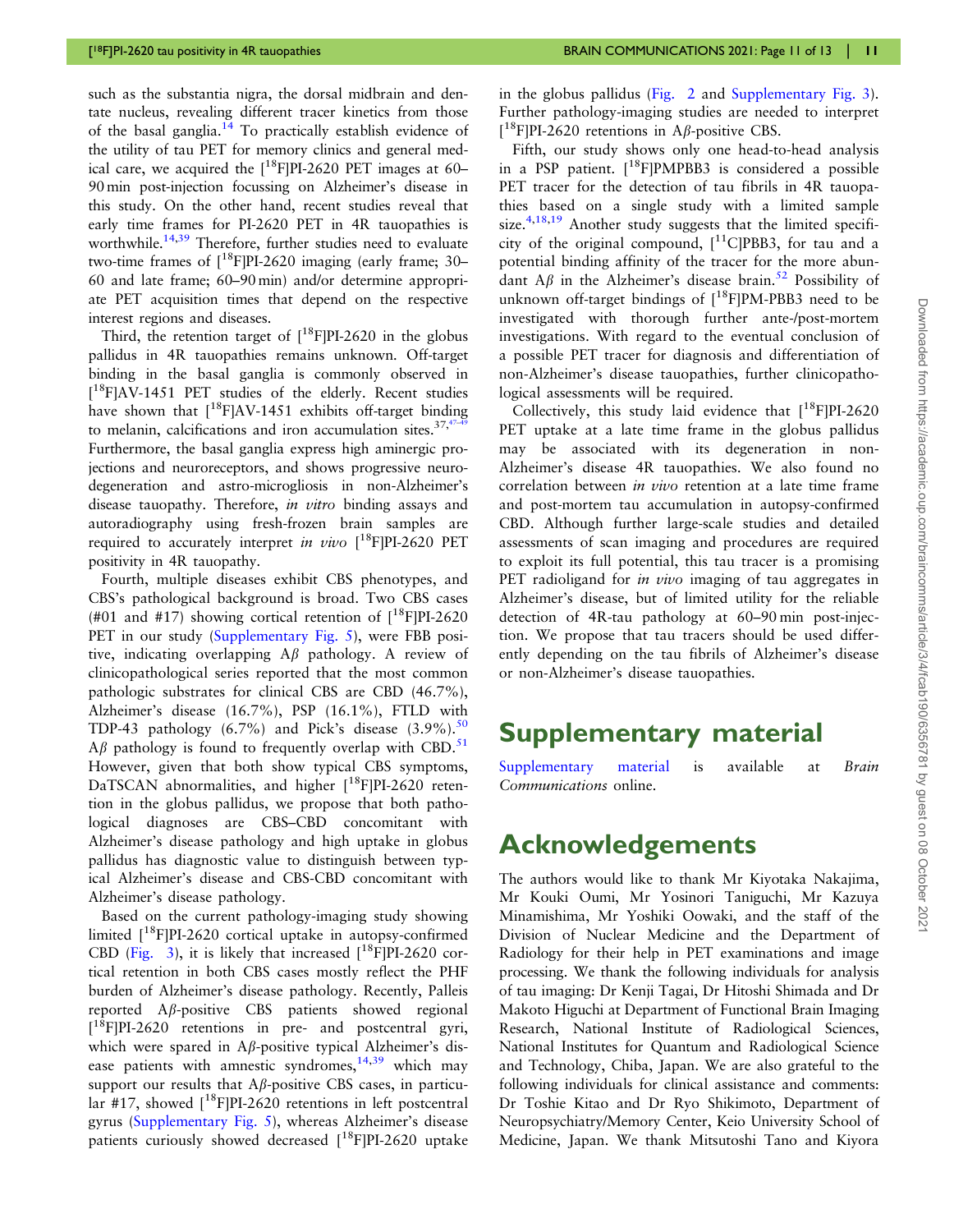<span id="page-10-0"></span>such as the substantia nigra, the dorsal midbrain and dentate nucleus, revealing different tracer kinetics from those of the basal ganglia.<sup>14</sup> To practically establish evidence of the utility of tau PET for memory clinics and general medical care, we acquired the  $[$ <sup>18</sup>FIPI-2620 PET images at 60– 90 min post-injection focussing on Alzheimer's disease in this study. On the other hand, recent studies reveal that early time frames for PI-2620 PET in 4R tauopathies is worthwhile.<sup>[14](#page-11-0)[,39](#page-12-0)</sup> Therefore, further studies need to evaluate two-time frames of  $\int_0^{18}$ FIPI-2620 imaging (early frame: 30– 60 and late frame; 60–90 min) and/or determine appropriate PET acquisition times that depend on the respective interest regions and diseases.

Third, the retention target of  $[^{18}F]PI-2620$  in the globus pallidus in 4R tauopathies remains unknown. Off-target binding in the basal ganglia is commonly observed in [<sup>18</sup>F]AV-1451 PET studies of the elderly. Recent studies have shown that  $[18F]AV-1451$  exhibits off-target binding to melanin, calcifications and iron accumulation sites. $37,47$ Furthermore, the basal ganglia express high aminergic projections and neuroreceptors, and shows progressive neurodegeneration and astro-microgliosis in non-Alzheimer's disease tauopathy. Therefore, *in vitro* binding assays and autoradiography using fresh-frozen brain samples are required to accurately interpret in vivo  $[^{18}F]$ PI-2620 PET positivity in 4R tauopathy.

Fourth, multiple diseases exhibit CBS phenotypes, and CBS's pathological background is broad. Two CBS cases (#01 and #17) showing cortical retention of  $\binom{18}{1}$ PI-2620 PET in our study [\(Supplementary Fig. 5\)](https://academic.oup.com/braincomms/article-lookup/doi/10.1093/braincomms/fcab190#supplementary-data), were FBB positive, indicating overlapping  $A\beta$  pathology. A review of clinicopathological series reported that the most common pathologic substrates for clinical CBS are CBD (46.7%), Alzheimer's disease (16.7%), PSP (16.1%), FTLD with TDP-43 pathology  $(6.7\%)$  and Pick's disease  $(3.9\%)$ .<sup>[50](#page-12-0)</sup>  $A\beta$  pathology is found to frequently overlap with CBD.<sup>[51](#page-12-0)</sup> However, given that both show typical CBS symptoms, DaTSCAN abnormalities, and higher [<sup>18</sup>F]PI-2620 retention in the globus pallidus, we propose that both pathological diagnoses are CBS–CBD concomitant with Alzheimer's disease pathology and high uptake in globus pallidus has diagnostic value to distinguish between typical Alzheimer's disease and CBS-CBD concomitant with Alzheimer's disease pathology.

Based on the current pathology-imaging study showing limited [<sup>18</sup>F]PI-2620 cortical uptake in autopsy-confirmed CBD ([Fig. 3\)](#page-8-0), it is likely that increased  $[18F]$ PI-2620 cortical retention in both CBS cases mostly reflect the PHF burden of Alzheimer's disease pathology. Recently, Palleis reported  $A\beta$ -positive CBS patients showed regional  $[$ <sup>18</sup>F]PI-2620 retentions in pre- and postcentral gyri, which were spared in A $\beta$ -positive typical Alzheimer's disease patients with amnestic syndromes,  $14,39$  $14,39$  which may support our results that  $A\beta$ -positive CBS cases, in particular #17, showed  $[18F]$ PI-2620 retentions in left postcentral gyrus ([Supplementary Fig. 5\)](https://academic.oup.com/braincomms/article-lookup/doi/10.1093/braincomms/fcab190#supplementary-data), whereas Alzheimer's disease patients curiously showed decreased  $[$ <sup>18</sup>F]PI-2620 uptake in the globus pallidus [\(Fig. 2](#page-7-0) and [Supplementary Fig. 3\)](https://academic.oup.com/braincomms/article-lookup/doi/10.1093/braincomms/fcab190#supplementary-data). Further pathology-imaging studies are needed to interpret  $[$ <sup>18</sup>F]PI-2620 retentions in A $\beta$ -positive CBS.

Fifth, our study shows only one head-to-head analysis in a PSP patient.  $[$ <sup>18</sup>FIPMPBB3 is considered a possible PET tracer for the detection of tau fibrils in 4R tauopathies based on a single study with a limited sample size.<sup>[4,18,19](#page-11-0)</sup> Another study suggests that the limited specificity of the original compound,  $[11$ ClPBB3, for tau and a potential binding affinity of the tracer for the more abundant  $A\beta$  in the Alzheimer's disease brain.<sup>[52](#page-12-0)</sup> Possibility of unknown off-target bindings of  $[18$ FIPM-PBB3 need to be investigated with thorough further ante-/post-mortem investigations. With regard to the eventual conclusion of a possible PET tracer for diagnosis and differentiation of non-Alzheimer's disease tauopathies, further clinicopathological assessments will be required.

Collectively, this study laid evidence that  $[18F]$ PI-2620 PET uptake at a late time frame in the globus pallidus may be associated with its degeneration in non-Alzheimer's disease 4R tauopathies. We also found no correlation between in vivo retention at a late time frame and post-mortem tau accumulation in autopsy-confirmed CBD. Although further large-scale studies and detailed assessments of scan imaging and procedures are required to exploit its full potential, this tau tracer is a promising PET radioligand for *in vivo* imaging of tau aggregates in Alzheimer's disease, but of limited utility for the reliable detection of 4R-tau pathology at 60–90 min post-injection. We propose that tau tracers should be used differently depending on the tau fibrils of Alzheimer's disease or non-Alzheimer's disease tauopathies.

## Supplementary material

[Supplementary material](https://academic.oup.com/braincomms/article-lookup/doi/10.1093/braincomms/fcab190#supplementary-data) is available at Brain Communications online.

## Acknowledgements

The authors would like to thank Mr Kiyotaka Nakajima, Mr Kouki Oumi, Mr Yosinori Taniguchi, Mr Kazuya Minamishima, Mr Yoshiki Oowaki, and the staff of the Division of Nuclear Medicine and the Department of Radiology for their help in PET examinations and image processing. We thank the following individuals for analysis of tau imaging: Dr Kenji Tagai, Dr Hitoshi Shimada and Dr Makoto Higuchi at Department of Functional Brain Imaging Research, National Institute of Radiological Sciences, National Institutes for Quantum and Radiological Science and Technology, Chiba, Japan. We are also grateful to the following individuals for clinical assistance and comments: Dr Toshie Kitao and Dr Ryo Shikimoto, Department of Neuropsychiatry/Memory Center, Keio University School of Medicine, Japan. We thank Mitsutoshi Tano and Kiyora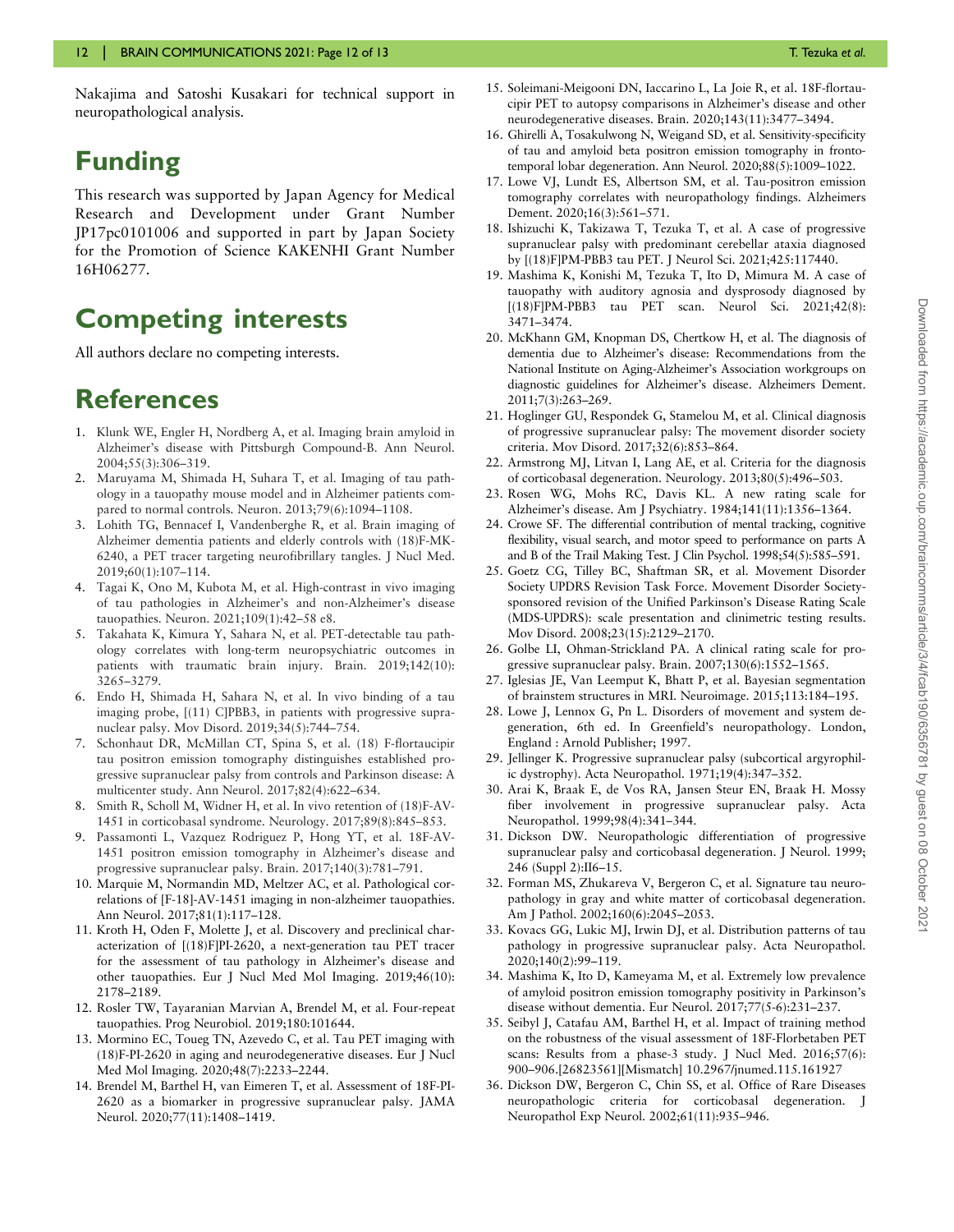<span id="page-11-0"></span>Nakajima and Satoshi Kusakari for technical support in neuropathological analysis.

## Funding

This research was supported by Japan Agency for Medical Research and Development under Grant Number JP17pc0101006 and supported in part by Japan Society for the Promotion of Science KAKENHI Grant Number 16H06277.

## Competing interests

All authors declare no competing interests.

## References

- [1.](#page-2-0) Klunk WE, Engler H, Nordberg A, et al. Imaging brain amyloid in Alzheimer's disease with Pittsburgh Compound-B. Ann Neurol. 2004;55(3):306–319.
- [2.](#page-2-0) Maruyama M, Shimada H, Suhara T, et al. Imaging of tau pathology in a tauopathy mouse model and in Alzheimer patients compared to normal controls. Neuron. 2013;79(6):1094–1108.
- [3.](#page-2-0) Lohith TG, Bennacef I, Vandenberghe R, et al. Brain imaging of Alzheimer dementia patients and elderly controls with (18)F-MK-6240, a PET tracer targeting neurofibrillary tangles. J Nucl Med. 2019;60(1):107–114.
- [4.](#page-2-0) Tagai K, Ono M, Kubota M, et al. High-contrast in vivo imaging of tau pathologies in Alzheimer's and non-Alzheimer's disease tauopathies. Neuron. 2021;109(1):42–58 e8.
- [5.](#page-2-0) Takahata K, Kimura Y, Sahara N, et al. PET-detectable tau pathology correlates with long-term neuropsychiatric outcomes in patients with traumatic brain injury. Brain. 2019;142(10): 3265–3279.
- [6.](#page-2-0) Endo H, Shimada H, Sahara N, et al. In vivo binding of a tau imaging probe, [(11) C]PBB3, in patients with progressive supranuclear palsy. Mov Disord. 2019;34(5):744–754.
- [7.](#page-2-0) Schonhaut DR, McMillan CT, Spina S, et al. (18) F-flortaucipir tau positron emission tomography distinguishes established progressive supranuclear palsy from controls and Parkinson disease: A multicenter study. Ann Neurol. 2017;82(4):622–634.
- [8.](#page-2-0) Smith R, Scholl M, Widner H, et al. In vivo retention of (18)F-AV-1451 in corticobasal syndrome. Neurology. 2017;89(8):845–853.
- [9.](#page-2-0) Passamonti L, Vazquez Rodriguez P, Hong YT, et al. 18F-AV-1451 positron emission tomography in Alzheimer's disease and progressive supranuclear palsy. Brain. 2017;140(3):781–791.
- [10](#page-2-0). Marquie M, Normandin MD, Meltzer AC, et al. Pathological correlations of [F-18]-AV-1451 imaging in non-alzheimer tauopathies. Ann Neurol. 2017;81(1):117–128.
- [11](#page-2-0). Kroth H, Oden F, Molette J, et al. Discovery and preclinical characterization of [(18)F]PI-2620, a next-generation tau PET tracer for the assessment of tau pathology in Alzheimer's disease and other tauopathies. Eur J Nucl Med Mol Imaging. 2019;46(10): 2178–2189.
- 12. Rosler TW, Tayaranian Marvian A, Brendel M, et al. Four-repeat tauopathies. Prog Neurobiol. 2019;180:101644.
- 13. Mormino EC, Toueg TN, Azevedo C, et al. Tau PET imaging with (18)F-PI-2620 in aging and neurodegenerative diseases. Eur J Nucl Med Mol Imaging. 2020;48(7):2233–2244.
- [14](#page-8-0). Brendel M, Barthel H, van Eimeren T, et al. Assessment of 18F-PI-2620 as a biomarker in progressive supranuclear palsy. JAMA Neurol. 2020;77(11):1408–1419.
- 15. Soleimani-Meigooni DN, Iaccarino L, La Joie R, et al. 18F-flortaucipir PET to autopsy comparisons in Alzheimer's disease and other neurodegenerative diseases. Brain. 2020;143(11):3477–3494.
- 16. Ghirelli A, Tosakulwong N, Weigand SD, et al. Sensitivity-specificity of tau and amyloid beta positron emission tomography in frontotemporal lobar degeneration. Ann Neurol. 2020;88(5):1009–1022.
- 17. Lowe VJ, Lundt ES, Albertson SM, et al. Tau-positron emission tomography correlates with neuropathology findings. Alzheimers Dement. 2020;16(3):561–571.
- [18.](#page-2-0) Ishizuchi K, Takizawa T, Tezuka T, et al. A case of progressive supranuclear palsy with predominant cerebellar ataxia diagnosed by [(18)F]PM-PBB3 tau PET. J Neurol Sci. 2021;425:117440.
- [19.](#page-2-0) Mashima K, Konishi M, Tezuka T, Ito D, Mimura M. A case of tauopathy with auditory agnosia and dysprosody diagnosed by [(18)F]PM-PBB3 tau PET scan. Neurol Sci. 2021;42(8): 3471–3474.
- 20. McKhann GM, Knopman DS, Chertkow H, et al. The diagnosis of dementia due to Alzheimer's disease: Recommendations from the National Institute on Aging-Alzheimer's Association workgroups on diagnostic guidelines for Alzheimer's disease. Alzheimers Dement. 2011;7(3):263–269.
- [21.](#page-2-0) Hoglinger GU, Respondek G, Stamelou M, et al. Clinical diagnosis of progressive supranuclear palsy: The movement disorder society criteria. Mov Disord. 2017;32(6):853–864.
- [22.](#page-3-0) Armstrong MJ, Litvan I, Lang AE, et al. Criteria for the diagnosis of corticobasal degeneration. Neurology. 2013;80(5):496–503.
- [23.](#page-3-0) Rosen WG, Mohs RC, Davis KL. A new rating scale for Alzheimer's disease. Am J Psychiatry. 1984;141(11):1356–1364.
- [24.](#page-3-0) Crowe SF. The differential contribution of mental tracking, cognitive flexibility, visual search, and motor speed to performance on parts A and B of the Trail Making Test. J Clin Psychol. 1998;54(5):585–591.
- [25.](#page-3-0) Goetz CG, Tilley BC, Shaftman SR, et al. Movement Disorder Society UPDRS Revision Task Force. Movement Disorder Societysponsored revision of the Unified Parkinson's Disease Rating Scale (MDS-UPDRS): scale presentation and clinimetric testing results. Mov Disord. 2008;23(15):2129–2170.
- [26.](#page-3-0) Golbe LI, Ohman-Strickland PA. A clinical rating scale for progressive supranuclear palsy. Brain. 2007;130(6):1552–1565.
- [27.](#page-3-0) Iglesias JE, Van Leemput K, Bhatt P, et al. Bayesian segmentation of brainstem structures in MRI. Neuroimage. 2015;113:184–195.
- 28. Lowe J, Lennox G, Pn L. Disorders of movement and system degeneration, 6th ed. In Greenfield's neuropathology. London, England : Arnold Publisher; 1997.
- 29. Jellinger K. Progressive supranuclear palsy (subcortical argyrophilic dystrophy). Acta Neuropathol. 1971;19(4):347–352.
- 30. Arai K, Braak E, de Vos RA, Jansen Steur EN, Braak H. Mossy fiber involvement in progressive supranuclear palsy. Acta Neuropathol. 1999;98(4):341–344.
- 31. Dickson DW. Neuropathologic differentiation of progressive supranuclear palsy and corticobasal degeneration. J Neurol. 1999; 246 (Suppl 2):II6–15.
- [32.](#page-6-0) Forman MS, Zhukareva V, Bergeron C, et al. Signature tau neuropathology in gray and white matter of corticobasal degeneration. Am J Pathol. 2002;160(6):2045–2053.
- [33.](#page-6-0) Kovacs GG, Lukic MJ, Irwin DJ, et al. Distribution patterns of tau pathology in progressive supranuclear palsy. Acta Neuropathol. 2020;140(2):99–119.
- [34.](#page-4-0) Mashima K, Ito D, Kameyama M, et al. Extremely low prevalence of amyloid positron emission tomography positivity in Parkinson's disease without dementia. Eur Neurol. 2017;77(5-6):231–237.
- [35.](#page-4-0) Seibyl J, Catafau AM, Barthel H, et al. Impact of training method on the robustness of the visual assessment of 18F-Florbetaben PET scans: Results from a phase-3 study. J Nucl Med. 2016;57(6): 900–906.[26823561][Mismatch] 10.2967/jnumed.115.161927
- [36.](#page-4-0) Dickson DW, Bergeron C, Chin SS, et al. Office of Rare Diseases neuropathologic criteria for corticobasal degeneration. J Neuropathol Exp Neurol. 2002;61(11):935–946.